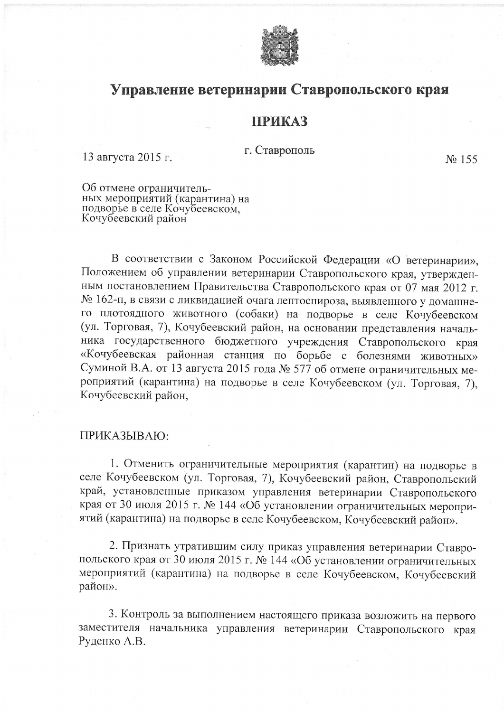

## Управление ветеринарии Ставропольского края

## **ПРИКАЗ**

г. Ставрополь

13 августа 2015 г.

No 155

Об отмене ограничительных мероприятий (карантина) на<br>подворье в селе Кочубеевском,<br>Кочубеевский район

В соответствии с Законом Российской Федерации «О ветеринарии», Положением об управлении ветеринарии Ставропольского края, утвержденным постановлением Правительства Ставропольского края от 07 мая 2012 г. № 162-п, в связи с ликвидацией очага лептоспироза, выявленного у домашнего плотоядного животного (собаки) на подворье в селе Кочубеевском (ул. Торговая, 7), Кочубеевский район, на основании представления начальника государственного бюджетного учреждения Ставропольского края «Кочубеевская районная станция по борьбе с болезнями животных» Суминой В.А. от 13 августа 2015 года № 577 об отмене ограничительных мероприятий (карантина) на подворье в селе Кочубеевском (ул. Торговая, 7), Кочубеевский район,

## ПРИКАЗЫВАЮ:

1. Отменить ограничительные мероприятия (карантин) на подворье в селе Кочубеевском (ул. Торговая, 7), Кочубеевский район, Ставропольский край, установленные приказом управления ветеринарии Ставропольского края от 30 июля 2015 г. № 144 «Об установлении ограничительных мероприятий (карантина) на подворье в селе Кочубеевском, Кочубеевский район».

2. Признать утратившим силу приказ управления ветеринарии Ставропольского края от 30 июля 2015 г. № 144 «Об установлении ограничительных мероприятий (карантина) на подворье в селе Кочубеевском, Кочубеевский район».

3. Контроль за выполнением настоящего приказа возложить на первого заместителя начальника управления ветеринарии Ставропольского края Руденко А.В.